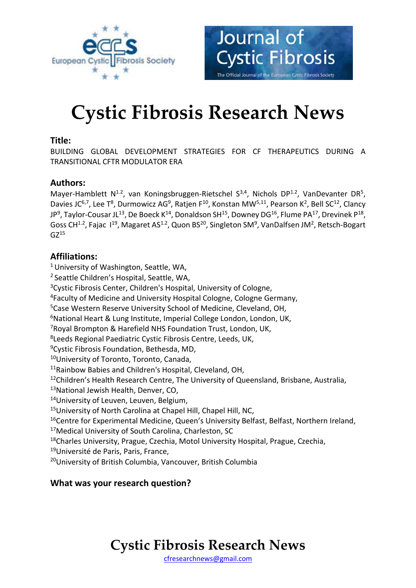



# **Cystic Fibrosis Research News**

### **Title:**

BUILDING GLOBAL DEVELOPMENT STRATEGIES FOR CF THERAPEUTICS DURING A TRANSITIONAL CFTR MODULATOR ERA

# **Authors:**

Mayer-Hamblett  $N^{1.2}$ , van Koningsbruggen-Rietschel S<sup>3,4</sup>, Nichols DP<sup>1.2</sup>, VanDevanter DR<sup>5</sup>, Davies JC<sup>6,7</sup>, Lee T<sup>8</sup>, Durmowicz AG<sup>9</sup>, Ratjen F<sup>10</sup>, Konstan MW<sup>5,11</sup>, Pearson K<sup>2</sup>, Bell SC<sup>12</sup>, Clancy JP<sup>9</sup>, Taylor-Cousar JL<sup>13</sup>, De Boeck K<sup>14</sup>, Donaldson SH<sup>15</sup>, Downey DG<sup>16</sup>, Flume PA<sup>17</sup>, Drevinek P<sup>18</sup>, Goss CH<sup>1.2</sup>, Fajac  $1^{19}$ , Magaret AS<sup>1.2</sup>, Quon BS<sup>20</sup>, Singleton SM<sup>9</sup>, VanDalfsen JM<sup>2</sup>, Retsch-Bogart  $GZ^{15}$ 

### **Affiliations:**

<sup>1</sup> University of Washington, Seattle, WA, <sup>2</sup> Seattle Children's Hospital, Seattle, WA, <sup>3</sup>Cystic Fibrosis Center, Children's Hospital, University of Cologne, <sup>4</sup>Faculty of Medicine and University Hospital Cologne, Cologne Germany, <sup>5</sup>Case Western Reserve University School of Medicine, Cleveland, OH, <sup>6</sup>National Heart & Lung Institute, Imperial College London, London, UK, <sup>7</sup>Royal Brompton & Harefield NHS Foundation Trust, London, UK, 8 Leeds Regional Paediatric Cystic Fibrosis Centre, Leeds, UK, <sup>9</sup>Cystic Fibrosis Foundation, Bethesda, MD, <sup>10</sup>University of Toronto, Toronto, Canada, <sup>11</sup>Rainbow Babies and Children's Hospital, Cleveland, OH, <sup>12</sup>Children's Health Research Centre, The University of Queensland, Brisbane, Australia, <sup>13</sup>National Jewish Health, Denver, CO, 14University of Leuven, Leuven, Belgium, <sup>15</sup>University of North Carolina at Chapel Hill, Chapel Hill, NC, <sup>16</sup>Centre for Experimental Medicine, Queen's University Belfast, Belfast, Northern Ireland, <sup>17</sup>Medical University of South Carolina, Charleston, SC <sup>18</sup>Charles University, Prague, Czechia, Motol University Hospital, Prague, Czechia, <sup>19</sup>Université de Paris, Paris, France, <sup>20</sup>University of British Columbia, Vancouver, British Columbia

### **What was your research question?**

# **Cystic Fibrosis Research News**

[cfresearchnews@gmail.com](mailto:cfresearchnews@gmail.com)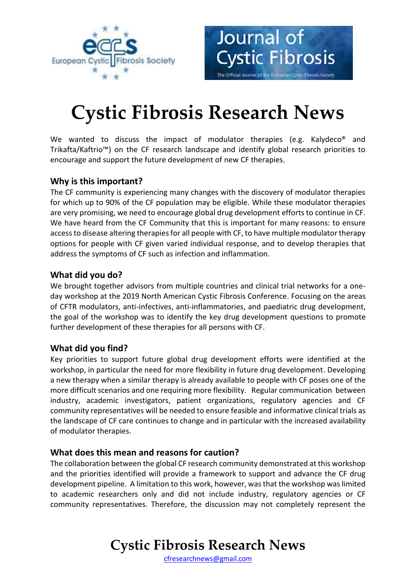



# **Cystic Fibrosis Research News**

We wanted to discuss the impact of modulator therapies (e.g. Kalydeco<sup>®</sup> and Trikafta/Kaftrio™) on the CF research landscape and identify global research priorities to encourage and support the future development of new CF therapies.

# **Why is this important?**

The CF community is experiencing many changes with the discovery of modulator therapies for which up to 90% of the CF population may be eligible. While these modulator therapies are very promising, we need to encourage global drug development efforts to continue in CF. We have heard from the CF Community that this is important for many reasons: to ensure access to disease altering therapies for all people with CF, to have multiple modulator therapy options for people with CF given varied individual response, and to develop therapies that address the symptoms of CF such as infection and inflammation.

### **What did you do?**

We brought together advisors from multiple countries and clinical trial networks for a oneday workshop at the 2019 North American Cystic Fibrosis Conference. Focusing on the areas of CFTR modulators, anti-infectives, anti-inflammatories, and paediatric drug development, the goal of the workshop was to identify the key drug development questions to promote further development of these therapies for all persons with CF.

# **What did you find?**

Key priorities to support future global drug development efforts were identified at the workshop, in particular the need for more flexibility in future drug development. Developing a new therapy when a similar therapy is already available to people with CF poses one of the more difficult scenarios and one requiring more flexibility. Regular communication between industry, academic investigators, patient organizations, regulatory agencies and CF community representatives will be needed to ensure feasible and informative clinical trials as the landscape of CF care continues to change and in particular with the increased availability of modulator therapies.

### **What does this mean and reasons for caution?**

The collaboration between the global CF research community demonstrated at this workshop and the priorities identified will provide a framework to support and advance the CF drug development pipeline. A limitation to this work, however, was that the workshop was limited to academic researchers only and did not include industry, regulatory agencies or CF community representatives. Therefore, the discussion may not completely represent the

# **Cystic Fibrosis Research News**

[cfresearchnews@gmail.com](mailto:cfresearchnews@gmail.com)